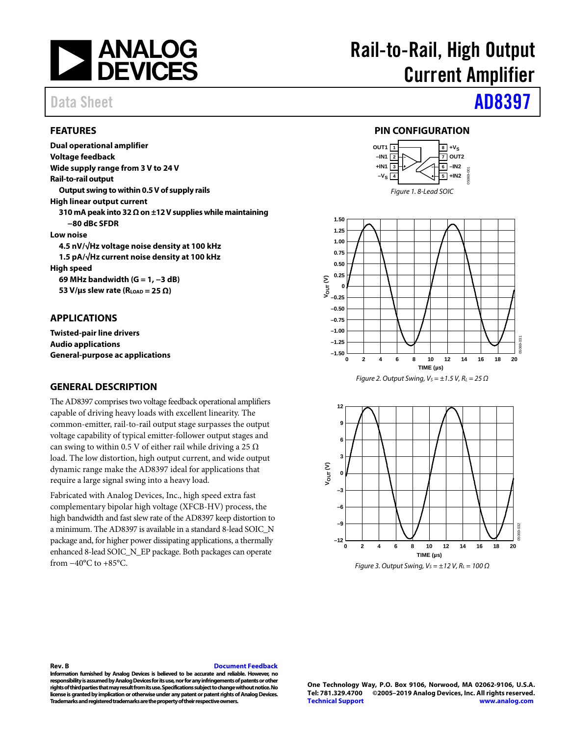

#### <span id="page-0-0"></span>**FEATURES**

**Dual operational amplifier Voltage feedback Wide supply range from 3 V to 24 V Rail-to-rail output Output swing to within 0.5 V of supply rails High linear output current 310 mA peak into 32 Ω on ±12 V supplies while maintaining −80 dBc SFDR Low noise 4.5 nV/√Hz voltage noise density at 100 kHz 1.5 pA/√Hz current noise density at 100 kHz High speed 69 MHz bandwidth (G = 1, −3 dB) 53 V/μs slew rate (RLOAD = 25 Ω)** 

#### <span id="page-0-1"></span>**APPLICATIONS**

**Twisted-pair line drivers Audio applications General-purpose ac applications** 

#### <span id="page-0-2"></span>**GENERAL DESCRIPTION**

The AD8397 comprises two voltage feedback operational amplifiers capable of driving heavy loads with excellent linearity. The common-emitter, rail-to-rail output stage surpasses the output voltage capability of typical emitter-follower output stages and can swing to within 0.5 V of either rail while driving a 25  $\Omega$ load. The low distortion, high output current, and wide output dynamic range make the AD8397 ideal for applications that require a large signal swing into a heavy load.

Fabricated with Analog Devices, Inc., high speed extra fast complementary bipolar high voltage (XFCB-HV) process, the high bandwidth and fast slew rate of the AD8397 keep distortion to a minimum. The AD8397 is available in a standard 8-lead SOIC\_N package and, for higher power dissipating applications, a thermally enhanced 8-lead SOIC\_N\_EP package. Both packages can operate from −40°C to +85°C.

# Rail-to-Rail, High Output Current Amplifier

# Data Sheet **[AD8397](https://www.analog.com/AD8397?doc=AD8397.pdf)**

#### **PIN CONFIGURATION**

<span id="page-0-3"></span>



Figure 2. Output Swing,  $V_S = \pm 1.5$  V,  $R_L = 25 \Omega$ 



#### **Rev. B [Document Feedback](https://form.analog.com/Form_Pages/feedback/documentfeedback.aspx?doc=AD8397.pdf&product=AD8397&rev=B)**

**Information furnished by Analog Devices is believed to be accurate and reliable. However, no responsibility is assumed by Analog Devices for its use, nor for any infringements of patents or other rights of third parties that may result from its use. Specifications subject to change without notice. No license is granted by implication or otherwise under any patent or patent rights of Analog Devices. Trademarks and registered trademarks are the property of their respective owners.**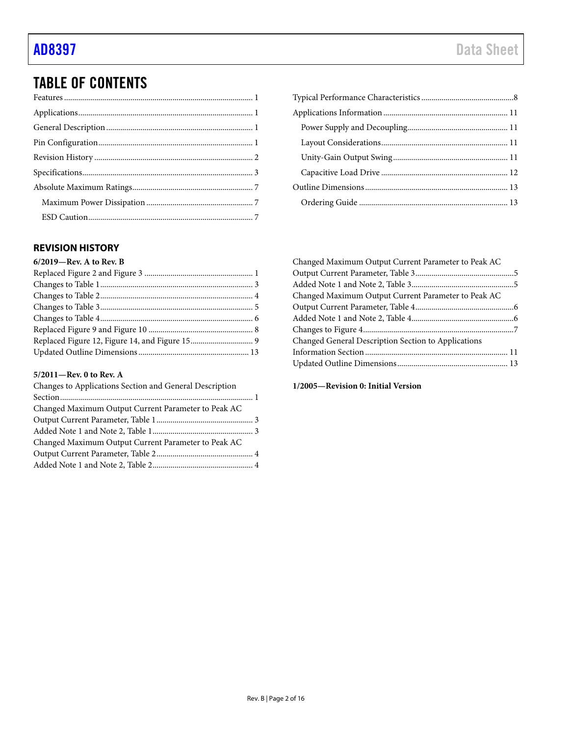## TABLE OF CONTENTS

#### <span id="page-1-0"></span>**REVISION HISTORY**

| 6/2019-Rev. A to Rev. B |  |
|-------------------------|--|
|                         |  |
|                         |  |
|                         |  |
|                         |  |
|                         |  |
|                         |  |
|                         |  |
|                         |  |
|                         |  |

#### **5/2011—Rev. 0 to Rev. A**

| Changes to Applications Section and General Description |  |
|---------------------------------------------------------|--|
|                                                         |  |
| Changed Maximum Output Current Parameter to Peak AC     |  |
|                                                         |  |
|                                                         |  |
| Changed Maximum Output Current Parameter to Peak AC     |  |
|                                                         |  |
|                                                         |  |

| Changed Maximum Output Current Parameter to Peak AC |  |
|-----------------------------------------------------|--|
|                                                     |  |
|                                                     |  |
| Changed Maximum Output Current Parameter to Peak AC |  |
|                                                     |  |
|                                                     |  |
|                                                     |  |
| Changed General Description Section to Applications |  |
|                                                     |  |
|                                                     |  |
|                                                     |  |

**1/2005—Revision 0: Initial Version**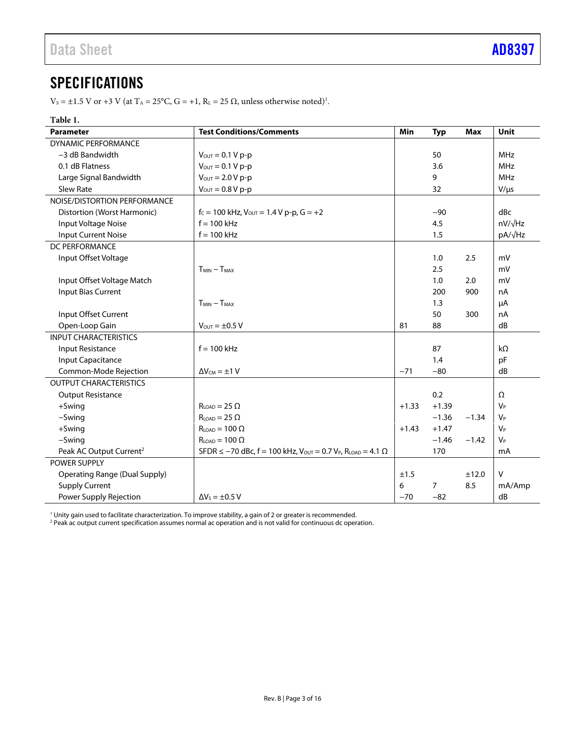## <span id="page-2-0"></span>**SPECIFICATIONS**

 $V_s = \pm 1.5$  V or  $+3$  V (at T<sub>A</sub> = 25°C, G =  $+1$ , R<sub>L</sub> = 25  $\Omega$ , unless otherwise noted)<sup>1</sup>.

| Table 1.                             |                                                                                                            |         |                |            |                |
|--------------------------------------|------------------------------------------------------------------------------------------------------------|---------|----------------|------------|----------------|
| <b>Parameter</b>                     | <b>Test Conditions/Comments</b>                                                                            | Min     | <b>Typ</b>     | <b>Max</b> | Unit           |
| <b>DYNAMIC PERFORMANCE</b>           |                                                                                                            |         |                |            |                |
| -3 dB Bandwidth                      | $V_{OUT} = 0.1 V p-p$                                                                                      |         | 50             |            | <b>MHz</b>     |
| 0.1 dB Flatness                      | $V_{\text{OUT}} = 0.1 V p-p$                                                                               |         | 3.6            |            | <b>MHz</b>     |
| Large Signal Bandwidth               | $V_{\text{OUT}} = 2.0 V p-p$                                                                               |         | 9              |            | <b>MHz</b>     |
| <b>Slew Rate</b>                     | $V_{\text{OUT}} = 0.8 V p-p$                                                                               |         | 32             |            | $V/\mu s$      |
| NOISE/DISTORTION PERFORMANCE         |                                                                                                            |         |                |            |                |
| Distortion (Worst Harmonic)          | $f_c = 100$ kHz, $V_{\text{OUT}} = 1.4$ V p-p, $G = +2$                                                    |         | $-90$          |            | dBc            |
| Input Voltage Noise                  | $f = 100$ kHz                                                                                              |         | 4.5            |            | $nV/\sqrt{Hz}$ |
| <b>Input Current Noise</b>           | $f = 100$ kHz                                                                                              |         | 1.5            |            | pA/√Hz         |
| DC PERFORMANCE                       |                                                                                                            |         |                |            |                |
| Input Offset Voltage                 |                                                                                                            |         | 1.0            | 2.5        | mV             |
|                                      | $TMIN - TMAX$                                                                                              |         | 2.5            |            | mV             |
| Input Offset Voltage Match           |                                                                                                            |         | 1.0            | 2.0        | mV             |
| <b>Input Bias Current</b>            |                                                                                                            |         | 200            | 900        | nA             |
|                                      | $T_{MIN} - T_{MAX}$                                                                                        |         | 1.3            |            | μA             |
| Input Offset Current                 |                                                                                                            |         | 50             | 300        | nA             |
| Open-Loop Gain                       | $V_{\text{OUT}} = \pm 0.5 V$                                                                               | 81      | 88             |            | dB             |
| <b>INPUT CHARACTERISTICS</b>         |                                                                                                            |         |                |            |                |
| Input Resistance                     | $f = 100$ kHz                                                                                              |         | 87             |            | kΩ             |
| <b>Input Capacitance</b>             |                                                                                                            |         | 1.4            |            | pF             |
| Common-Mode Rejection                | $\Delta V_{CM} = \pm 1 V$                                                                                  | $-71$   | $-80$          |            | dB             |
| <b>OUTPUT CHARACTERISTICS</b>        |                                                                                                            |         |                |            |                |
| <b>Output Resistance</b>             |                                                                                                            |         | 0.2            |            | Ω              |
| +Swing                               | $RLOAD = 25 \Omega$                                                                                        | $+1.33$ | $+1.39$        |            | $V_P$          |
| $-Swing$                             | $RioAD = 25 \Omega$                                                                                        |         | $-1.36$        | $-1.34$    | $V_P$          |
| +Swing                               | $RLOAD = 100 \Omega$                                                                                       | $+1.43$ | $+1.47$        |            | $V_P$          |
| $-Swing$                             | $R_{LOAD} = 100 \Omega$                                                                                    |         | $-1.46$        | $-1.42$    | $V_P$          |
| Peak AC Output Current <sup>2</sup>  | SFDR $\leq -70$ dBc, f = 100 kHz, $V_{\text{OUT}} = 0.7$ V <sub>P</sub> , R <sub>LOAD</sub> = 4.1 $\Omega$ |         | 170            |            | mA             |
| <b>POWER SUPPLY</b>                  |                                                                                                            |         |                |            |                |
| <b>Operating Range (Dual Supply)</b> |                                                                                                            | ±1.5    |                | ±12.0      | $\vee$         |
| <b>Supply Current</b>                |                                                                                                            | 6       | $\overline{7}$ | 8.5        | mA/Amp         |
| Power Supply Rejection               | $\Delta V_s = \pm 0.5 V$                                                                                   | $-70$   | $-82$          |            | dB             |

<sup>1</sup> Unity gain used to facilitate characterization. To improve stability, a gain of 2 or greater is recommended.<br><sup>2</sup> Peak ac output current specification assumes normal ac operation and is not valid for continuous dc oper

Peak ac output current specification assumes normal ac operation and is not valid for continuous dc operation.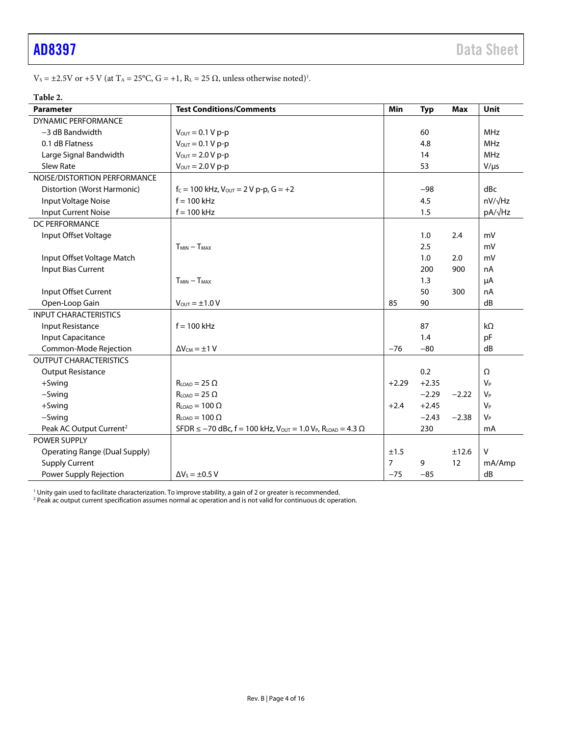$V_s = \pm 2.5V$  or  $+5$  V (at  $T_A = 25^{\circ}C$ ,  $G = +1$ ,  $R_L = 25 \Omega$ , unless otherwise noted)<sup>1</sup>.

#### **Table 2.**

| <b>Parameter</b>                     | <b>Test Conditions/Comments</b>                                                                | Min            | <b>Typ</b> | <b>Max</b> | Unit           |
|--------------------------------------|------------------------------------------------------------------------------------------------|----------------|------------|------------|----------------|
| <b>DYNAMIC PERFORMANCE</b>           |                                                                                                |                |            |            |                |
| -3 dB Bandwidth                      | $V_{\text{OUT}} = 0.1 V p-p$                                                                   |                | 60         |            | <b>MHz</b>     |
| 0.1 dB Flatness                      | $V_{\text{OUT}} = 0.1 V p-p$                                                                   |                | 4.8        |            | <b>MHz</b>     |
| Large Signal Bandwidth               | $V_{\text{OUT}} = 2.0 V p-p$                                                                   |                | 14         |            | <b>MHz</b>     |
| <b>Slew Rate</b>                     | $V_{\text{OUT}} = 2.0 V p-p$                                                                   |                | 53         |            | $V/\mu s$      |
| NOISE/DISTORTION PERFORMANCE         |                                                                                                |                |            |            |                |
| Distortion (Worst Harmonic)          | $f_c = 100$ kHz, $V_{OUT} = 2 V$ p-p, $G = +2$                                                 |                | $-98$      |            | dBc            |
| Input Voltage Noise                  | $f = 100$ kHz                                                                                  |                | 4.5        |            | $nV/\sqrt{Hz}$ |
| <b>Input Current Noise</b>           | $f = 100$ kHz                                                                                  |                | 1.5        |            | pA/√Hz         |
| DC PERFORMANCE                       |                                                                                                |                |            |            |                |
| Input Offset Voltage                 |                                                                                                |                | 1.0        | 2.4        | mV             |
|                                      | $T_{MIN} - T_{MAX}$                                                                            |                | 2.5        |            | mV             |
| Input Offset Voltage Match           |                                                                                                |                | 1.0        | 2.0        | mV             |
| Input Bias Current                   |                                                                                                |                | 200        | 900        | nA             |
|                                      | $T_{MIN} - T_{MAX}$                                                                            |                | 1.3        |            | μA             |
| Input Offset Current                 |                                                                                                |                | 50         | 300        | nA             |
| Open-Loop Gain                       | $V_{\text{OUT}} = \pm 1.0 V$                                                                   | 85             | 90         |            | dB             |
| <b>INPUT CHARACTERISTICS</b>         |                                                                                                |                |            |            |                |
| Input Resistance                     | $f = 100$ kHz                                                                                  |                | 87         |            | $k\Omega$      |
| <b>Input Capacitance</b>             |                                                                                                |                | 1.4        |            | pF             |
| Common-Mode Rejection                | $\Delta V_{CM} = \pm 1 V$                                                                      | $-76$          | $-80$      |            | dB             |
| <b>OUTPUT CHARACTERISTICS</b>        |                                                                                                |                |            |            |                |
| <b>Output Resistance</b>             |                                                                                                |                | 0.2        |            | Ω              |
| +Swing                               | $RION = 25 \Omega$                                                                             | $+2.29$        | $+2.35$    |            | $V_P$          |
| -Swing                               | $R_{LOAD} = 25 \Omega$                                                                         |                | $-2.29$    | $-2.22$    | $V_P$          |
| $+$ Swing                            | $RLOAD = 100 \Omega$                                                                           | $+2.4$         | $+2.45$    |            | V <sub>P</sub> |
| -Swing                               | $R_{\text{LOAD}} = 100 \Omega$                                                                 |                | $-2.43$    | $-2.38$    | $V_P$          |
| Peak AC Output Current <sup>2</sup>  | SFDR ≤ -70 dBc, f = 100 kHz, V <sub>OUT</sub> = 1.0 V <sub>P</sub> , R <sub>LOAD</sub> = 4.3 Ω |                | 230        |            | mA             |
| <b>POWER SUPPLY</b>                  |                                                                                                |                |            |            |                |
| <b>Operating Range (Dual Supply)</b> |                                                                                                | ±1.5           |            | ±12.6      | $\vee$         |
| <b>Supply Current</b>                |                                                                                                | $\overline{7}$ | 9          | 12         | mA/Amp         |
| Power Supply Rejection               | $\Delta V_s = \pm 0.5 V$                                                                       | $-75$          | $-85$      |            | dB             |

<sup>1</sup> Unity gain used to facilitate characterization. To improve stability, a gain of 2 or greater is recommended.<br><sup>2</sup> Peak ac output current specification assumes normal ac operation and is not valid for continuous dc opera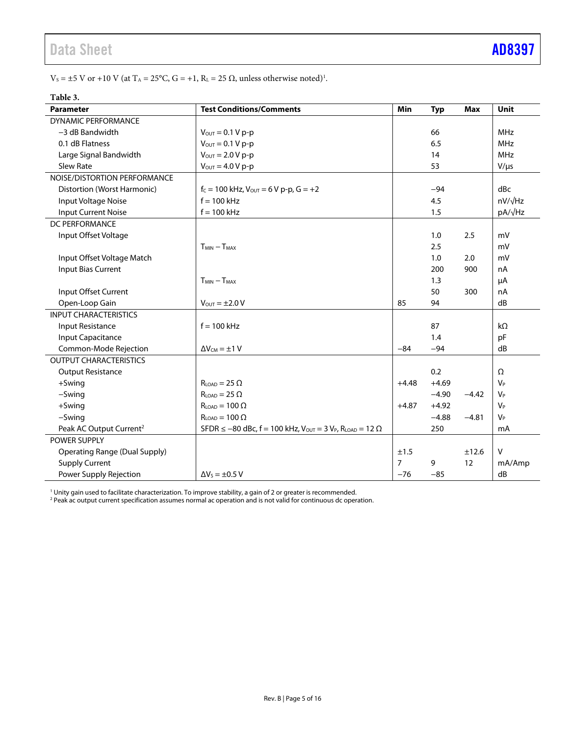$V_s = \pm 5$  V or +10 V (at T<sub>A</sub> = 25°C, G = +1, R<sub>L</sub> = 25  $\Omega$ , unless otherwise noted)<sup>1</sup>.

| radie 5.                             |                                                                                             |                |            |            |                |
|--------------------------------------|---------------------------------------------------------------------------------------------|----------------|------------|------------|----------------|
| <b>Parameter</b>                     | <b>Test Conditions/Comments</b>                                                             | Min            | <b>Typ</b> | <b>Max</b> | Unit           |
| <b>DYNAMIC PERFORMANCE</b>           |                                                                                             |                |            |            |                |
| $-3$ dB Bandwidth                    | $V_{\text{OUT}} = 0.1 V p-p$                                                                |                | 66         |            | <b>MHz</b>     |
| 0.1 dB Flatness                      | $V_{\text{OUT}} = 0.1 V p-p$                                                                |                | 6.5        |            | <b>MHz</b>     |
| Large Signal Bandwidth               | $V_{\text{OUT}} = 2.0 V p-p$                                                                |                | 14         |            | <b>MHz</b>     |
| Slew Rate                            | $V_{OUT} = 4.0 V p-p$                                                                       |                | 53         |            | $V/\mu s$      |
| NOISE/DISTORTION PERFORMANCE         |                                                                                             |                |            |            |                |
| Distortion (Worst Harmonic)          | $f_c = 100$ kHz, $V_{OUT} = 6$ V p-p, $G = +2$                                              |                | $-94$      |            | dBc            |
| Input Voltage Noise                  | $f = 100$ kHz                                                                               |                | 4.5        |            | $nV/\sqrt{Hz}$ |
| <b>Input Current Noise</b>           | $f = 100$ kHz                                                                               |                | 1.5        |            | pA/√Hz         |
| DC PERFORMANCE                       |                                                                                             |                |            |            |                |
| Input Offset Voltage                 |                                                                                             |                | 1.0        | 2.5        | mV             |
|                                      | $T_{MIN} - T_{MAX}$                                                                         |                | 2.5        |            | mV             |
| Input Offset Voltage Match           |                                                                                             |                | 1.0        | 2.0        | mV             |
| <b>Input Bias Current</b>            |                                                                                             |                | 200        | 900        | nA             |
|                                      | $T_{MIN} - T_{MAX}$                                                                         |                | 1.3        |            | μA             |
| Input Offset Current                 |                                                                                             |                | 50         | 300        | nA             |
| Open-Loop Gain                       | $V_{OUT} = \pm 2.0 V$                                                                       | 85             | 94         |            | dB             |
| <b>INPUT CHARACTERISTICS</b>         |                                                                                             |                |            |            |                |
| Input Resistance                     | $f = 100$ kHz                                                                               |                | 87         |            | $k\Omega$      |
| Input Capacitance                    |                                                                                             |                | 1.4        |            | pF             |
| Common-Mode Rejection                | $\Delta V_{CM} = \pm 1 V$                                                                   | $-84$          | $-94$      |            | dB             |
| <b>OUTPUT CHARACTERISTICS</b>        |                                                                                             |                |            |            |                |
| <b>Output Resistance</b>             |                                                                                             |                | 0.2        |            | $\Omega$       |
| $+$ Swing                            | $R_{LOAD} = 25 \Omega$                                                                      | $+4.48$        | $+4.69$    |            | $V_P$          |
| -Swing                               | $R_{\text{LOAD}} = 25 \Omega$                                                               |                | $-4.90$    | $-4.42$    | $V_P$          |
| +Swing                               | $RLOAD = 100 \Omega$                                                                        |                | $+4.92$    |            | V <sub>P</sub> |
| $-Swing$                             | $R_{LOAD} = 100 \Omega$                                                                     |                | $-4.88$    | $-4.81$    | $V_P$          |
| Peak AC Output Current <sup>2</sup>  | SFDR ≤ -80 dBc, f = 100 kHz, V <sub>OUT</sub> = 3 V <sub>P</sub> , R <sub>LOAD</sub> = 12 Ω |                | 250        |            | mA             |
| <b>POWER SUPPLY</b>                  |                                                                                             |                |            |            |                |
| <b>Operating Range (Dual Supply)</b> |                                                                                             | ±1.5           |            | ±12.6      | $\mathsf{V}$   |
| <b>Supply Current</b>                |                                                                                             | $\overline{7}$ | 9          | 12         | mA/Amp         |
| Power Supply Rejection               | $\Delta V_s = \pm 0.5 V$                                                                    | $-76$          | $-85$      |            | dB             |

### **Table 3.**

<sup>1</sup> Unity gain used to facilitate characterization. To improve stability, a gain of 2 or greater is recommended.<br><sup>2</sup> Peak ac output current specification assumes normal ac operation and is not valid for continuous dc opera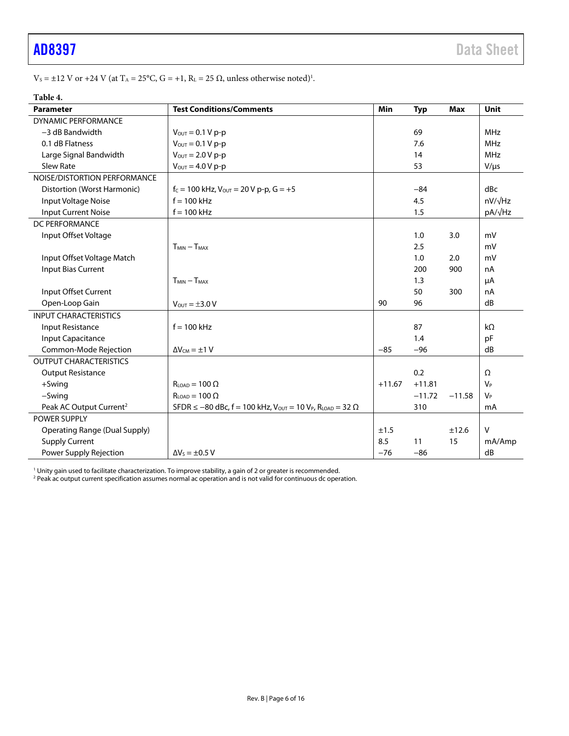$V_s = \pm 12$  V or  $+24$  V (at  $T_A = 25^{\circ}C$ ,  $G = +1$ ,  $R_L = 25 \Omega$ , unless otherwise noted)<sup>1</sup>.

| ٠<br>ı<br>ш |  |
|-------------|--|
|-------------|--|

| <b>Parameter</b>                     | <b>Test Conditions/Comments</b>                                                       | Min      | <b>Typ</b> | Max      | <b>Unit</b>          |
|--------------------------------------|---------------------------------------------------------------------------------------|----------|------------|----------|----------------------|
| <b>DYNAMIC PERFORMANCE</b>           |                                                                                       |          |            |          |                      |
| -3 dB Bandwidth                      | $V_{\text{OUT}} = 0.1 V p-p$                                                          |          | 69         |          | <b>MHz</b>           |
| 0.1 dB Flatness                      | $V_{\text{OUT}} = 0.1 V p-p$                                                          |          | 7.6        |          | <b>MHz</b>           |
| Large Signal Bandwidth               | $V_{\text{OUT}} = 2.0 V p-p$                                                          |          | 14         |          | <b>MHz</b>           |
| Slew Rate                            | $V_{OUT} = 4.0 V p-p$                                                                 |          | 53         |          | $V/\mu s$            |
| NOISE/DISTORTION PERFORMANCE         |                                                                                       |          |            |          |                      |
| Distortion (Worst Harmonic)          | $f_c = 100$ kHz, $V_{OUT} = 20$ V p-p, $G = +5$                                       |          | $-84$      |          | dBc                  |
| Input Voltage Noise                  | $f = 100$ kHz                                                                         |          | 4.5        |          | $nV/\sqrt{Hz}$       |
| Input Current Noise                  | $f = 100$ kHz                                                                         |          | 1.5        |          | pA/√Hz               |
| DC PERFORMANCE                       |                                                                                       |          |            |          |                      |
| Input Offset Voltage                 |                                                                                       |          | 1.0        | 3.0      | mV                   |
|                                      | $T_{MIN} - T_{MAX}$                                                                   |          | 2.5        |          | mV                   |
| Input Offset Voltage Match           |                                                                                       |          | 1.0        | 2.0      | mV                   |
| Input Bias Current                   |                                                                                       |          | 200        | 900      | nA                   |
|                                      | $T_{MIN} - T_{MAX}$                                                                   |          | 1.3        |          | μA                   |
| Input Offset Current                 |                                                                                       |          | 50         | 300      | nA                   |
| Open-Loop Gain                       | $V_{\text{OUT}} = \pm 3.0 V$                                                          | 90       | 96         |          | dB                   |
| <b>INPUT CHARACTERISTICS</b>         |                                                                                       |          |            |          |                      |
| <b>Input Resistance</b>              | $f = 100$ kHz                                                                         |          | 87         |          | $k\Omega$            |
| Input Capacitance                    |                                                                                       |          | 1.4        |          | pF                   |
| Common-Mode Rejection                | $\Delta V_{CM} = \pm 1 V$                                                             | $-85$    | $-96$      |          | dB                   |
| <b>OUTPUT CHARACTERISTICS</b>        |                                                                                       |          |            |          |                      |
| <b>Output Resistance</b>             |                                                                                       |          | 0.2        |          | Ω                    |
| $+5$ wing                            | $R_{\text{LOAD}} = 100 \Omega$                                                        | $+11.67$ | $+11.81$   |          | <b>V<sub>P</sub></b> |
| -Swing                               | $RLOAD = 100 \Omega$                                                                  |          | $-11.72$   | $-11.58$ | $V_P$                |
| Peak AC Output Current <sup>2</sup>  | SFDR ≤ -80 dBc, f = 100 kHz, $V_{OUT}$ = 10 V <sub>P</sub> , R <sub>LOAD</sub> = 32 Ω |          | 310        |          | mA                   |
| <b>POWER SUPPLY</b>                  |                                                                                       |          |            |          |                      |
| <b>Operating Range (Dual Supply)</b> |                                                                                       | ±1.5     |            | ±12.6    | V                    |
| <b>Supply Current</b>                |                                                                                       | 8.5      | 11         | 15       | mA/Amp               |
| Power Supply Rejection               | $\Delta V_S = \pm 0.5 V$                                                              | $-76$    | $-86$      |          | dB                   |

<sup>1</sup> Unity gain used to facilitate characterization. To improve stability, a gain of 2 or greater is recommended.<br><sup>2</sup> Peak ac output current specification assumes normal ac operation and is not valid for continuous dc opera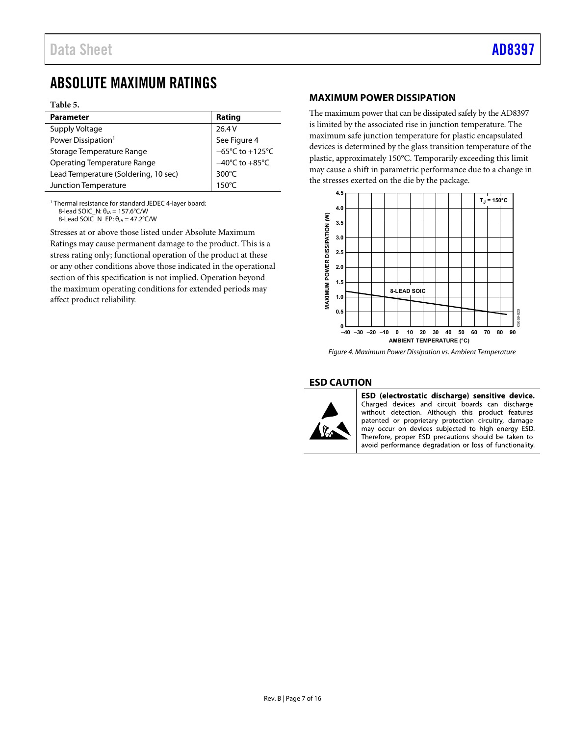### <span id="page-6-0"></span>ABSOLUTE MAXIMUM RATINGS

#### **Table 5.**

| <b>Parameter</b>                     | Rating                                            |
|--------------------------------------|---------------------------------------------------|
| Supply Voltage                       | 26.4 V                                            |
| Power Dissipation <sup>1</sup>       | See Figure 4<br>−65°C to +125°C<br>−40°C to +85°C |
| Storage Temperature Range            |                                                   |
| <b>Operating Temperature Range</b>   |                                                   |
| Lead Temperature (Soldering, 10 sec) | 300 $\degree$ C                                   |
| Junction Temperature                 | $150^{\circ}$ C                                   |

1 Thermal resistance for standard JEDEC 4-layer board: 8-lead SOIC\_N:  $θ<sub>JA</sub> = 157.6°C/W$ 8-Lead SOIC\_N\_EP:  $\theta_{JA} = 47.2^{\circ}$ C/W

Stresses at or above those listed under Absolute Maximum Ratings may cause permanent damage to the product. This is a stress rating only; functional operation of the product at these

or any other conditions above those indicated in the operational section of this specification is not implied. Operation beyond the maximum operating conditions for extended periods may affect product reliability.

#### <span id="page-6-1"></span>**MAXIMUM POWER DISSIPATION**

The maximum power that can be dissipated safely by the AD8397 is limited by the associated rise in junction temperature. The maximum safe junction temperature for plastic encapsulated devices is determined by the glass transition temperature of the plastic, approximately 150°C. Temporarily exceeding this limit may cause a shift in parametric performance due to a change in the stresses exerted on the die by the package.



<span id="page-6-3"></span>Figure 4. Maximum Power Dissipation vs. Ambient Temperature

#### <span id="page-6-2"></span>**ESD CAUTION**



ESD (electrostatic discharge) sensitive device. Charged devices and circuit boards can discharge without detection. Although this product features patented or proprietary protection circuitry, damage may occur on devices subjected to high energy ESD. Therefore, proper ESD precautions should be taken to avoid performance degradation or loss of functionality.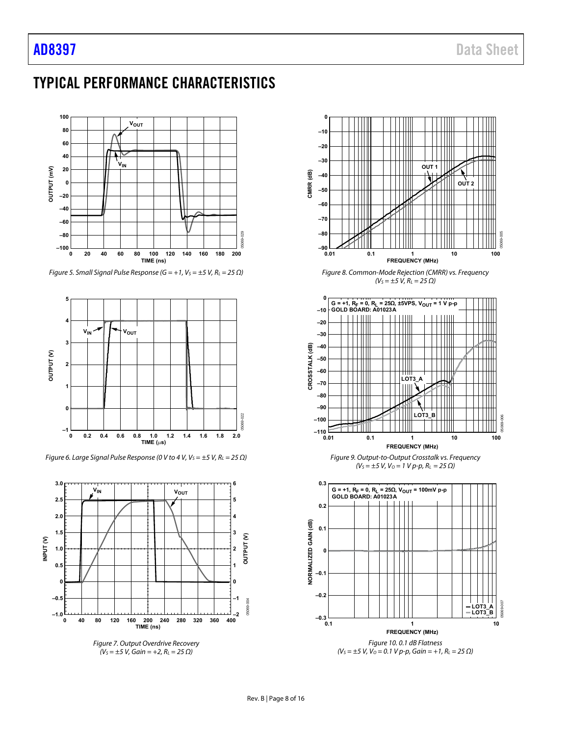### <span id="page-7-0"></span>TYPICAL PERFORMANCE CHARACTERISTICS



Figure 5. Small Signal Pulse Response (G = +1,  $V_S = \pm 5$  V,  $R_L = 25 \Omega$ )



Figure 6. Large Signal Pulse Response (0 V to 4 V,  $V_S = \pm 5$  V,  $R_L = 25 \Omega$ )



<span id="page-7-1"></span>Figure 7. Output Overdrive Recovery  $(V<sub>S</sub> = ±5 V, Gain = +2, R<sub>L</sub> = 25 \Omega)$ 



**G = +1, RF = 0, RL = 25Ω, ±5VPS, VOUT = 1 V p-p GOLD BOARD: A01023A**

**0**



Figure 9. Output-to-Output Crosstalk vs. Frequency  $(V<sub>S</sub> = ±5 V, V<sub>O</sub> = 1 V p-p, R<sub>L</sub> = 25 \Omega)$ 



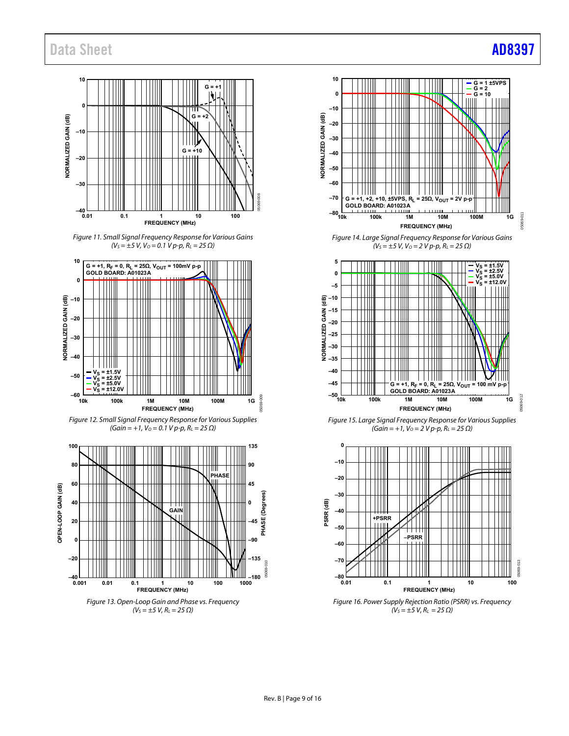### Data Sheet **[AD8397](https://www.analog.com/AD8397?doc=AD8397.pdf)**

#### **10**  $G =$ **0** ╥╖  $G =$ NORMALIZED GAIN (dB) **NORMALIZED GAIN (dB) –10** ║║║ **G = +10 –20 –30** 05069-008 **–40 0.01 0.1 1 10 100 FREQUENCY (MHz)**

Figure 11. Small Signal Frequency Response for Various Gains  $(V<sub>S</sub> = ±5 V, V<sub>O</sub> = 0.1 Vp-p, R<sub>L</sub> = 25 \Omega)$ 









Figure 14. Large Signal Frequency Response for Various Gains  $(V<sub>S</sub> = ±5 V, V<sub>O</sub> = 2 V p-p, R<sub>L</sub> = 25 Ω)$ 



Figure 15. Large Signal Frequency Response for Various Supplies  $(Gain = +1, V<sub>O</sub> = 2 V p-p, R<sub>L</sub> = 25 \Omega)$ 



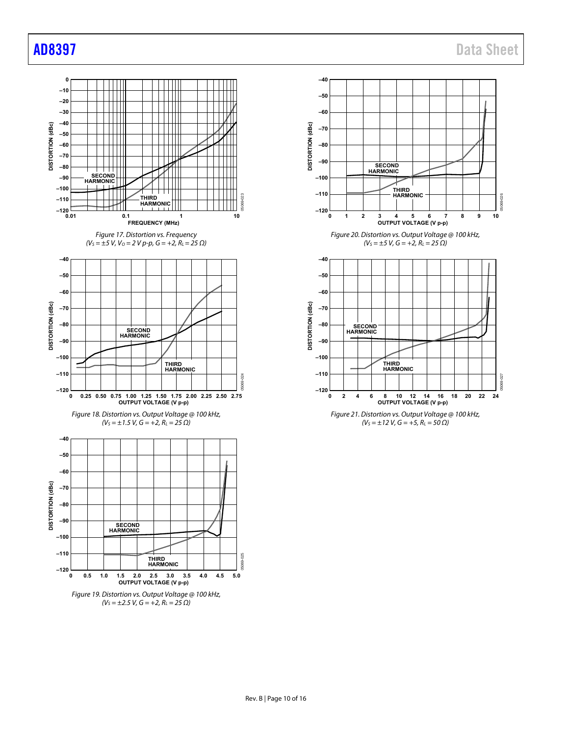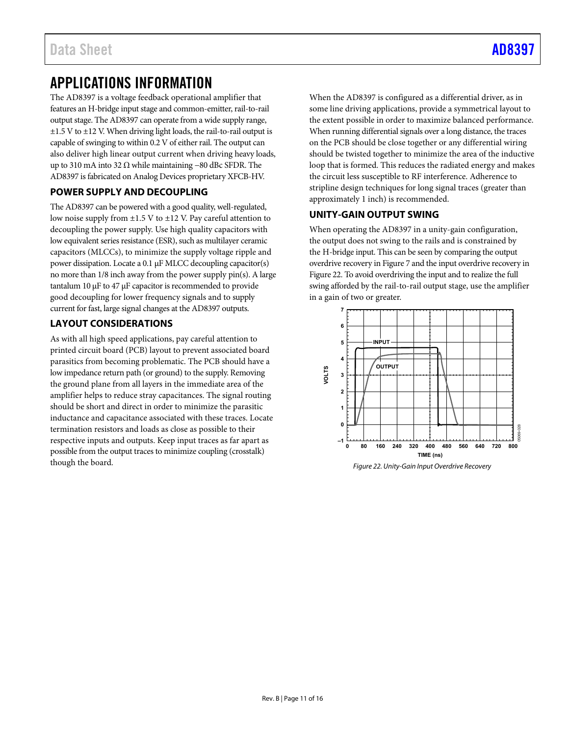### <span id="page-10-0"></span>APPLICATIONS INFORMATION

The AD8397 is a voltage feedback operational amplifier that features an H-bridge input stage and common-emitter, rail-to-rail output stage. The AD8397 can operate from a wide supply range, ±1.5 V to ±12 V. When driving light loads, the rail-to-rail output is capable of swinging to within 0.2 V of either rail. The output can also deliver high linear output current when driving heavy loads, up to 310 mA into 32 Ω while maintaining −80 dBc SFDR. The AD8397 is fabricated on Analog Devices proprietary XFCB-HV.

#### <span id="page-10-1"></span>**POWER SUPPLY AND DECOUPLING**

The AD8397 can be powered with a good quality, well-regulated, low noise supply from  $\pm 1.5$  V to  $\pm 12$  V. Pay careful attention to decoupling the power supply. Use high quality capacitors with low equivalent series resistance (ESR), such as multilayer ceramic capacitors (MLCCs), to minimize the supply voltage ripple and power dissipation. Locate a 0.1 μF MLCC decoupling capacitor(s) no more than 1/8 inch away from the power supply pin(s). A large tantalum 10 μF to 47 μF capacitor is recommended to provide good decoupling for lower frequency signals and to supply current for fast, large signal changes at the AD8397 outputs.

### <span id="page-10-2"></span>**LAYOUT CONSIDERATIONS**

As with all high speed applications, pay careful attention to printed circuit board (PCB) layout to prevent associated board parasitics from becoming problematic. The PCB should have a low impedance return path (or ground) to the supply. Removing the ground plane from all layers in the immediate area of the amplifier helps to reduce stray capacitances. The signal routing should be short and direct in order to minimize the parasitic inductance and capacitance associated with these traces. Locate termination resistors and loads as close as possible to their respective inputs and outputs. Keep input traces as far apart as possible from the output traces to minimize coupling (crosstalk) though the board.

When the AD8397 is configured as a differential driver, as in some line driving applications, provide a symmetrical layout to the extent possible in order to maximize balanced performance. When running differential signals over a long distance, the traces on the PCB should be close together or any differential wiring should be twisted together to minimize the area of the inductive loop that is formed. This reduces the radiated energy and makes the circuit less susceptible to RF interference. Adherence to stripline design techniques for long signal traces (greater than approximately 1 inch) is recommended.

### <span id="page-10-3"></span>**UNITY-GAIN OUTPUT SWING**

When operating the AD8397 in a unity-gain configuration, the output does not swing to the rails and is constrained by the H-bridge input. This can be seen by comparing the output overdrive recovery i[n Figure 7](#page-7-1) and the input overdrive recovery in [Figure 22.](#page-10-4) To avoid overdriving the input and to realize the full swing afforded by the rail-to-rail output stage, use the amplifier in a gain of two or greater.

<span id="page-10-4"></span>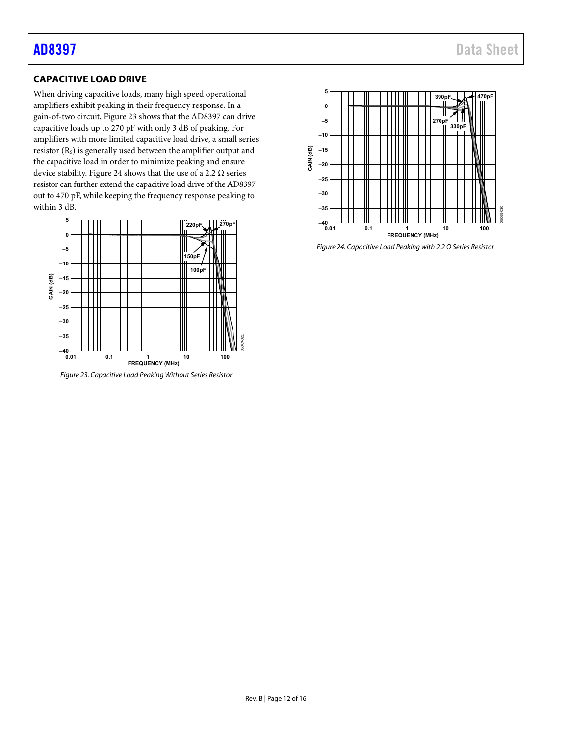### <span id="page-11-0"></span>**CAPACITIVE LOAD DRIVE**

When driving capacitive loads, many high speed operational amplifiers exhibit peaking in their frequency response. In a gain-of-two circuit[, Figure 23 s](#page-11-1)hows that the AD8397 can drive capacitive loads up to 270 pF with only 3 dB of peaking. For amplifiers with more limited capacitive load drive, a small series resistor (Rs) is generally used between the amplifier output and the capacitive load in order to minimize peaking and ensure device stability. [Figure 24 s](#page-11-2)hows that the use of a 2.2  $\Omega$  series resistor can further extend the capacitive load drive of the AD8397 out to 470 pF, while keeping the frequency response peaking to within 3 dB.



<span id="page-11-1"></span>Figure 23. Capacitive Load Peaking Without Series Resistor



<span id="page-11-2"></span>Figure 24. Capacitive Load Peaking with 2.2 Ω Series Resistor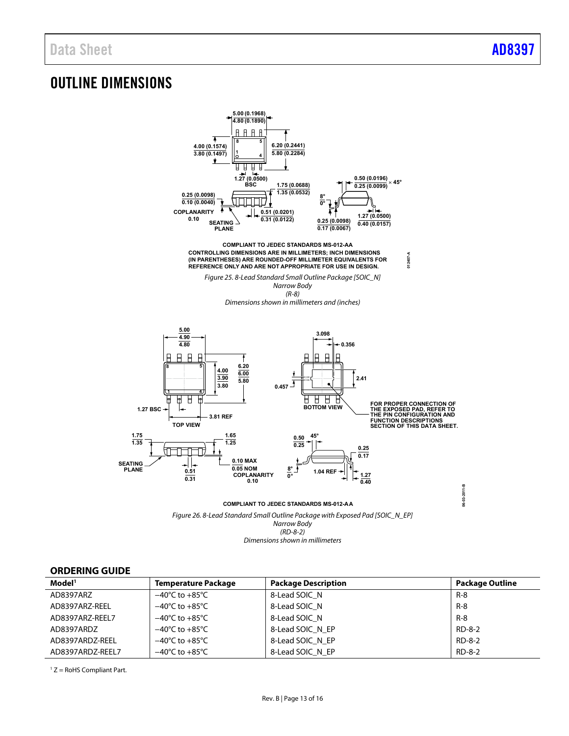### <span id="page-12-0"></span>OUTLINE DIMENSIONS



**COMPLIANT TO JEDEC STANDARDS MS-012-AA**

ù.

Figure 26. 8-Lead Standard Small Outline Package with Exposed Pad [SOIC\_N\_EP] Narrow Body (RD-8-2) Dimensions shown in millimeters

#### <span id="page-12-1"></span>**ORDERING GUIDE**

| Model <sup>1</sup> | <b>Temperature Package</b>         | <b>Package Description</b> | <b>Package Outline</b> |
|--------------------|------------------------------------|----------------------------|------------------------|
| AD8397ARZ          | $-40^{\circ}$ C to $+85^{\circ}$ C | 8-Lead SOIC N              | R-8                    |
| AD8397ARZ-REEL     | $-40^{\circ}$ C to $+85^{\circ}$ C | 8-Lead SOIC N              | $R - 8$                |
| AD8397ARZ-REEL7    | $-40^{\circ}$ C to $+85^{\circ}$ C | 8-Lead SOIC N              | $R - 8$                |
| AD8397ARDZ         | $-40^{\circ}$ C to $+85^{\circ}$ C | 8-Lead SOIC N EP           | RD-8-2                 |
| AD8397ARDZ-REEL    | $-40^{\circ}$ C to $+85^{\circ}$ C | 8-Lead SOIC N EP           | RD-8-2                 |
| AD8397ARDZ-REEL7   | $-40^{\circ}$ C to $+85^{\circ}$ C | 8-Lead SOIC N EP           | RD-8-2                 |

 $1 Z =$  RoHS Compliant Part.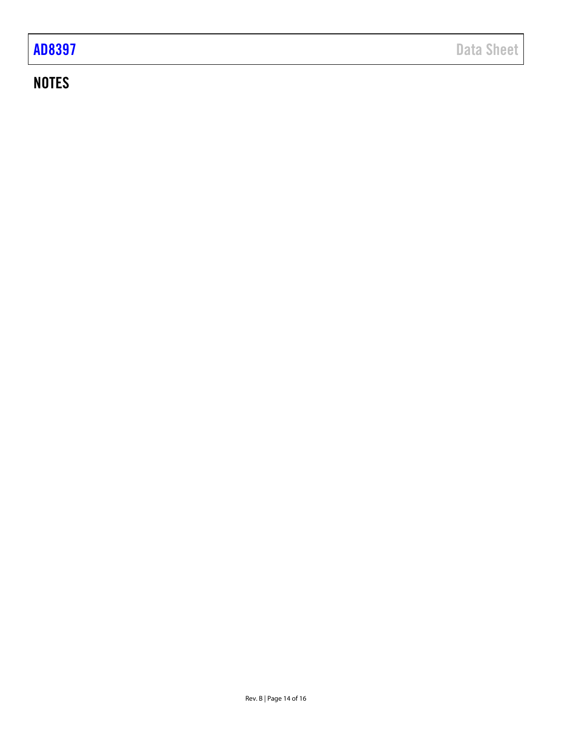## **NOTES**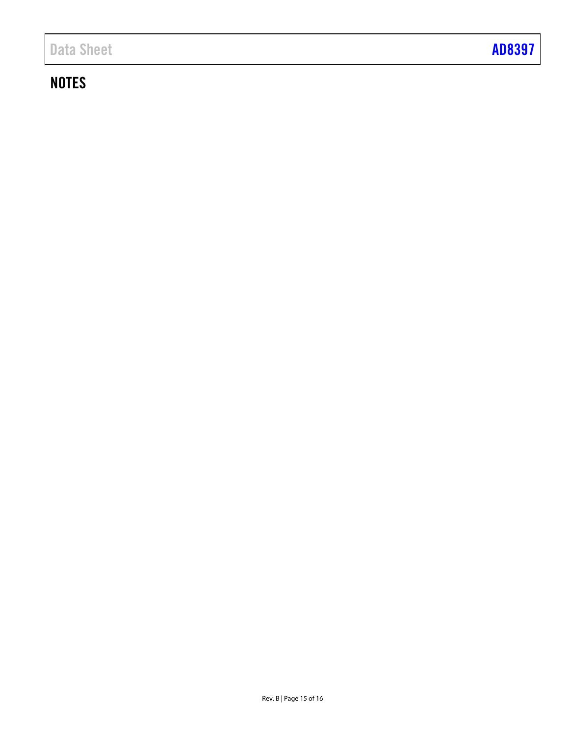## **NOTES**